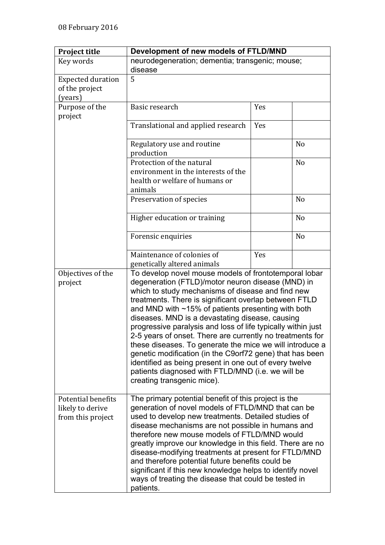| <b>Project title</b>                                        | Development of new models of FTLD/MND                                                                                                                                                                                                                                                                                                                                                                                                                                                                                                                                                                                                                                                                                                  |     |                |
|-------------------------------------------------------------|----------------------------------------------------------------------------------------------------------------------------------------------------------------------------------------------------------------------------------------------------------------------------------------------------------------------------------------------------------------------------------------------------------------------------------------------------------------------------------------------------------------------------------------------------------------------------------------------------------------------------------------------------------------------------------------------------------------------------------------|-----|----------------|
| Key words                                                   | neurodegeneration; dementia; transgenic; mouse;<br>disease                                                                                                                                                                                                                                                                                                                                                                                                                                                                                                                                                                                                                                                                             |     |                |
| <b>Expected duration</b><br>of the project<br>(years)       | 5                                                                                                                                                                                                                                                                                                                                                                                                                                                                                                                                                                                                                                                                                                                                      |     |                |
| Purpose of the<br>project                                   | Basic research                                                                                                                                                                                                                                                                                                                                                                                                                                                                                                                                                                                                                                                                                                                         | Yes |                |
|                                                             | Translational and applied research                                                                                                                                                                                                                                                                                                                                                                                                                                                                                                                                                                                                                                                                                                     | Yes |                |
|                                                             | Regulatory use and routine<br>production                                                                                                                                                                                                                                                                                                                                                                                                                                                                                                                                                                                                                                                                                               |     | N <sub>o</sub> |
|                                                             | Protection of the natural<br>environment in the interests of the<br>health or welfare of humans or<br>animals                                                                                                                                                                                                                                                                                                                                                                                                                                                                                                                                                                                                                          |     | N <sub>o</sub> |
|                                                             | Preservation of species                                                                                                                                                                                                                                                                                                                                                                                                                                                                                                                                                                                                                                                                                                                |     | N <sub>0</sub> |
|                                                             | Higher education or training                                                                                                                                                                                                                                                                                                                                                                                                                                                                                                                                                                                                                                                                                                           |     | N <sub>o</sub> |
|                                                             | Forensic enquiries                                                                                                                                                                                                                                                                                                                                                                                                                                                                                                                                                                                                                                                                                                                     |     | N <sub>o</sub> |
|                                                             | Maintenance of colonies of<br>genetically altered animals                                                                                                                                                                                                                                                                                                                                                                                                                                                                                                                                                                                                                                                                              | Yes |                |
| Objectives of the<br>project                                | To develop novel mouse models of frontotemporal lobar<br>degeneration (FTLD)/motor neuron disease (MND) in<br>which to study mechanisms of disease and find new<br>treatments. There is significant overlap between FTLD<br>and MND with $~15\%$ of patients presenting with both<br>diseases. MND is a devastating disease, causing<br>progressive paralysis and loss of life typically within just<br>2-5 years of onset. There are currently no treatments for<br>these diseases. To generate the mice we will introduce a<br>genetic modification (in the C9orf72 gene) that has been<br>identified as being present in one out of every twelve<br>patients diagnosed with FTLD/MND (i.e. we will be<br>creating transgenic mice). |     |                |
| Potential benefits<br>likely to derive<br>from this project | The primary potential benefit of this project is the<br>generation of novel models of FTLD/MND that can be<br>used to develop new treatments. Detailed studies of<br>disease mechanisms are not possible in humans and<br>therefore new mouse models of FTLD/MND would<br>greatly improve our knowledge in this field. There are no<br>disease-modifying treatments at present for FTLD/MND<br>and therefore potential future benefits could be<br>significant if this new knowledge helps to identify novel<br>ways of treating the disease that could be tested in<br>patients.                                                                                                                                                      |     |                |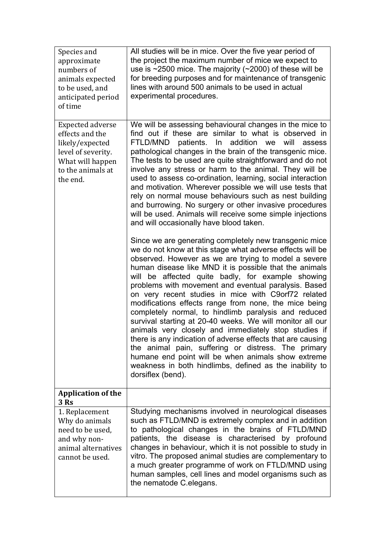| Species and<br>approximate<br>numbers of<br>animals expected<br>to be used, and<br>anticipated period<br>of time                  | All studies will be in mice. Over the five year period of<br>the project the maximum number of mice we expect to<br>use is $\sim$ 2500 mice. The majority ( $\sim$ 2000) of these will be<br>for breeding purposes and for maintenance of transgenic<br>lines with around 500 animals to be used in actual<br>experimental procedures.                                                                                                                                                                                                                                                                                                                                                                                                                                                                                                                                                                         |
|-----------------------------------------------------------------------------------------------------------------------------------|----------------------------------------------------------------------------------------------------------------------------------------------------------------------------------------------------------------------------------------------------------------------------------------------------------------------------------------------------------------------------------------------------------------------------------------------------------------------------------------------------------------------------------------------------------------------------------------------------------------------------------------------------------------------------------------------------------------------------------------------------------------------------------------------------------------------------------------------------------------------------------------------------------------|
| Expected adverse<br>effects and the<br>likely/expected<br>level of severity.<br>What will happen<br>to the animals at<br>the end. | We will be assessing behavioural changes in the mice to<br>find out if these are similar to what is observed in<br>patients.<br>addition we<br>will<br>FTLD/MND<br>$\ln$<br>assess<br>pathological changes in the brain of the transgenic mice.<br>The tests to be used are quite straightforward and do not<br>involve any stress or harm to the animal. They will be<br>used to assess co-ordination, learning, social interaction<br>and motivation. Wherever possible we will use tests that<br>rely on normal mouse behaviours such as nest building<br>and burrowing. No surgery or other invasive procedures<br>will be used. Animals will receive some simple injections<br>and will occasionally have blood taken.                                                                                                                                                                                    |
|                                                                                                                                   | Since we are generating completely new transgenic mice<br>we do not know at this stage what adverse effects will be<br>observed. However as we are trying to model a severe<br>human disease like MND it is possible that the animals<br>be affected quite badly, for example showing<br>will<br>problems with movement and eventual paralysis. Based<br>on very recent studies in mice with C9orf72 related<br>modifications effects range from none, the mice being<br>completely normal, to hindlimb paralysis and reduced<br>survival starting at 20-40 weeks. We will monitor all our<br>animals very closely and immediately stop studies if<br>there is any indication of adverse effects that are causing<br>the animal pain, suffering or distress. The primary<br>humane end point will be when animals show extreme<br>weakness in both hindlimbs, defined as the inability to<br>dorsiflex (bend). |
| <b>Application of the</b><br>3 Rs                                                                                                 |                                                                                                                                                                                                                                                                                                                                                                                                                                                                                                                                                                                                                                                                                                                                                                                                                                                                                                                |
| 1. Replacement<br>Why do animals<br>need to be used,<br>and why non-<br>animal alternatives<br>cannot be used.                    | Studying mechanisms involved in neurological diseases<br>such as FTLD/MND is extremely complex and in addition<br>to pathological changes in the brains of FTLD/MND<br>patients, the disease is characterised by profound<br>changes in behaviour, which it is not possible to study in<br>vitro. The proposed animal studies are complementary to<br>a much greater programme of work on FTLD/MND using<br>human samples, cell lines and model organisms such as<br>the nematode C.elegans.                                                                                                                                                                                                                                                                                                                                                                                                                   |